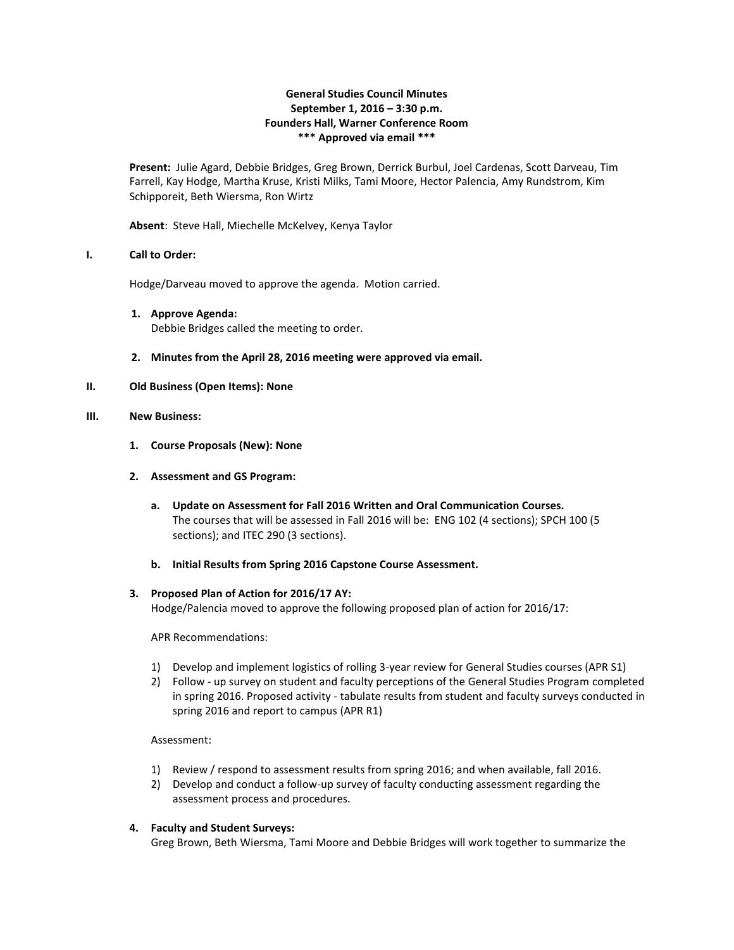## **General Studies Council Minutes September 1, 2016 – 3:30 p.m. Founders Hall, Warner Conference Room \*\*\* Approved via email \*\*\***

**Present:** Julie Agard, Debbie Bridges, Greg Brown, Derrick Burbul, Joel Cardenas, Scott Darveau, Tim Farrell, Kay Hodge, Martha Kruse, Kristi Milks, Tami Moore, Hector Palencia, Amy Rundstrom, Kim Schipporeit, Beth Wiersma, Ron Wirtz

**Absent**: Steve Hall, Miechelle McKelvey, Kenya Taylor

### **I. Call to Order:**

Hodge/Darveau moved to approve the agenda. Motion carried.

- **1. Approve Agenda:** Debbie Bridges called the meeting to order.
- **2. Minutes from the April 28, 2016 meeting were approved via email.**
- **II. Old Business (Open Items): None**

### **III. New Business:**

- **1. Course Proposals (New): None**
- **2. Assessment and GS Program:**
	- **a. Update on Assessment for Fall 2016 Written and Oral Communication Courses.** The courses that will be assessed in Fall 2016 will be: ENG 102 (4 sections); SPCH 100 (5 sections); and ITEC 290 (3 sections).
	- **b. Initial Results from Spring 2016 Capstone Course Assessment.**

#### **3. Proposed Plan of Action for 2016/17 AY:**

Hodge/Palencia moved to approve the following proposed plan of action for 2016/17:

APR Recommendations:

- 1) Develop and implement logistics of rolling 3-year review for General Studies courses (APR S1)
- 2) Follow up survey on student and faculty perceptions of the General Studies Program completed in spring 2016. Proposed activity - tabulate results from student and faculty surveys conducted in spring 2016 and report to campus (APR R1)

Assessment:

- 1) Review / respond to assessment results from spring 2016; and when available, fall 2016.
- 2) Develop and conduct a follow-up survey of faculty conducting assessment regarding the assessment process and procedures.

## **4. Faculty and Student Surveys:**

Greg Brown, Beth Wiersma, Tami Moore and Debbie Bridges will work together to summarize the